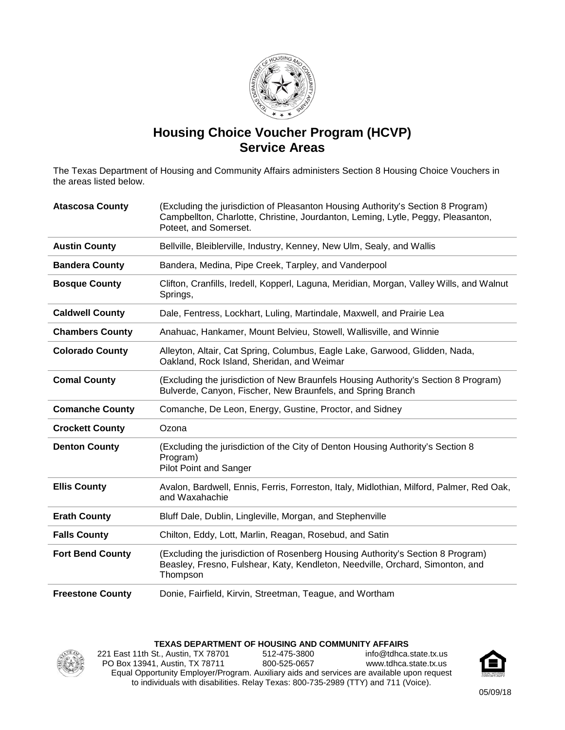

## **Housing Choice Voucher Program (HCVP) Service Areas**

The Texas Department of Housing and Community Affairs administers Section 8 Housing Choice Vouchers in the areas listed below.

| <b>Atascosa County</b>  | (Excluding the jurisdiction of Pleasanton Housing Authority's Section 8 Program)<br>Campbellton, Charlotte, Christine, Jourdanton, Leming, Lytle, Peggy, Pleasanton,<br>Poteet, and Somerset. |
|-------------------------|-----------------------------------------------------------------------------------------------------------------------------------------------------------------------------------------------|
| <b>Austin County</b>    | Bellville, Bleiblerville, Industry, Kenney, New Ulm, Sealy, and Wallis                                                                                                                        |
| <b>Bandera County</b>   | Bandera, Medina, Pipe Creek, Tarpley, and Vanderpool                                                                                                                                          |
| <b>Bosque County</b>    | Clifton, Cranfills, Iredell, Kopperl, Laguna, Meridian, Morgan, Valley Wills, and Walnut<br>Springs,                                                                                          |
| <b>Caldwell County</b>  | Dale, Fentress, Lockhart, Luling, Martindale, Maxwell, and Prairie Lea                                                                                                                        |
| <b>Chambers County</b>  | Anahuac, Hankamer, Mount Belvieu, Stowell, Wallisville, and Winnie                                                                                                                            |
| <b>Colorado County</b>  | Alleyton, Altair, Cat Spring, Columbus, Eagle Lake, Garwood, Glidden, Nada,<br>Oakland, Rock Island, Sheridan, and Weimar                                                                     |
| <b>Comal County</b>     | (Excluding the jurisdiction of New Braunfels Housing Authority's Section 8 Program)<br>Bulverde, Canyon, Fischer, New Braunfels, and Spring Branch                                            |
|                         |                                                                                                                                                                                               |
| <b>Comanche County</b>  | Comanche, De Leon, Energy, Gustine, Proctor, and Sidney                                                                                                                                       |
| <b>Crockett County</b>  | Ozona                                                                                                                                                                                         |
| <b>Denton County</b>    | (Excluding the jurisdiction of the City of Denton Housing Authority's Section 8<br>Program)<br><b>Pilot Point and Sanger</b>                                                                  |
| <b>Ellis County</b>     | Avalon, Bardwell, Ennis, Ferris, Forreston, Italy, Midlothian, Milford, Palmer, Red Oak,<br>and Waxahachie                                                                                    |
| <b>Erath County</b>     | Bluff Dale, Dublin, Lingleville, Morgan, and Stephenville                                                                                                                                     |
| <b>Falls County</b>     | Chilton, Eddy, Lott, Marlin, Reagan, Rosebud, and Satin                                                                                                                                       |
| <b>Fort Bend County</b> | (Excluding the jurisdiction of Rosenberg Housing Authority's Section 8 Program)<br>Beasley, Fresno, Fulshear, Katy, Kendleton, Needville, Orchard, Simonton, and<br>Thompson                  |

## **TEXAS DEPARTMENT OF HOUSING AND COMMUNITY AFFAIRS**



221 East 11th St., Austin, TX 78701 PO Box 13941, Austin, TX 78711 512-475-3800 800-525-0657 info@tdhca.state.tx.us www.tdhca.state.tx.us Equal Opportunity Employer/Program. Auxiliary aids and services are available upon request to individuals with disabilities. Relay Texas: 800-735-2989 (TTY) and 711 (Voice).